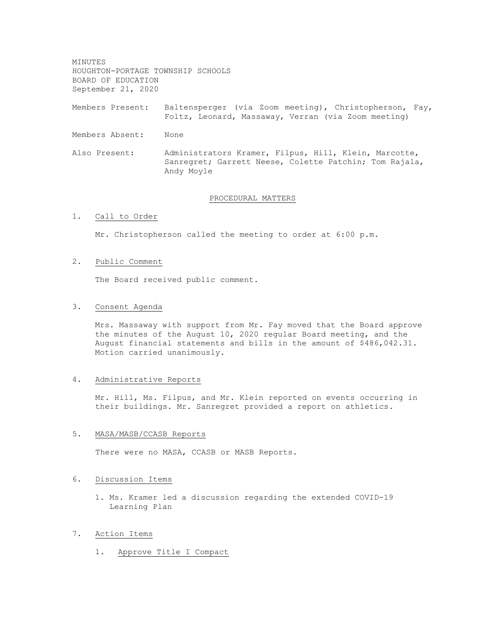MINUTES HOUGHTON-PORTAGE TOWNSHIP SCHOOLS BOARD OF EDUCATION September 21, 2020

Members Present: Baltensperger (via Zoom meeting), Christopherson, Fay, Foltz, Leonard, Massaway, Verran (via Zoom meeting)

- Members Absent: None
- Also Present: Administrators Kramer, Filpus, Hill, Klein, Marcotte, Sanregret; Garrett Neese, Colette Patchin; Tom Rajala, Andy Moyle

#### PROCEDURAL MATTERS

1. Call to Order

Mr. Christopherson called the meeting to order at 6:00 p.m.

### 2. Public Comment

The Board received public comment.

# 3. Consent Agenda

Mrs. Massaway with support from Mr. Fay moved that the Board approve the minutes of the August 10, 2020 regular Board meeting, and the August financial statements and bills in the amount of \$486,042.31. Motion carried unanimously.

## 4. Administrative Reports

Mr. Hill, Ms. Filpus, and Mr. Klein reported on events occurring in their buildings. Mr. Sanregret provided a report on athletics.

# 5. MASA/MASB/CCASB Reports

There were no MASA, CCASB or MASB Reports.

#### 6. Discussion Items

1. Ms. Kramer led a discussion regarding the extended COVID-19 Learning Plan

### 7. Action Items

1. Approve Title I Compact